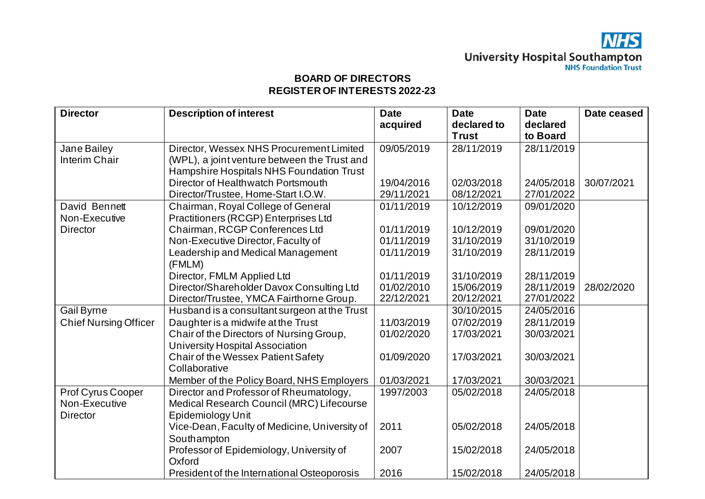| <b>Director</b>              | <b>Description of interest</b>                  | <b>Date</b><br>acquired | <b>Date</b><br>declared to | <b>Date</b><br>declared | Date ceased |
|------------------------------|-------------------------------------------------|-------------------------|----------------------------|-------------------------|-------------|
|                              |                                                 |                         | <b>Trust</b>               | to Board                |             |
| Jane Bailey                  | Director, Wessex NHS Procurement Limited        | 09/05/2019              | 28/11/2019                 | 28/11/2019              |             |
| Interim Chair                | (WPL), a joint venture between the Trust and    |                         |                            |                         |             |
|                              | <b>Hampshire Hospitals NHS Foundation Trust</b> |                         |                            |                         |             |
|                              | Director of Healthwatch Portsmouth              | 19/04/2016              | 02/03/2018                 | 24/05/2018              | 30/07/2021  |
|                              | Director/Trustee, Home-Start I.O.W.             | 29/11/2021              | 08/12/2021                 | 27/01/2022              |             |
| David Bennett                | Chairman, Royal College of General              | 01/11/2019              | 10/12/2019                 | 09/01/2020              |             |
| Non-Executive                | Practitioners (RCGP) Enterprises Ltd            |                         |                            |                         |             |
| <b>Director</b>              | Chairman, RCGP Conferences Ltd                  | 01/11/2019              | 10/12/2019                 | 09/01/2020              |             |
|                              | Non-Executive Director, Faculty of              | 01/11/2019              | 31/10/2019                 | 31/10/2019              |             |
|                              | Leadership and Medical Management               | 01/11/2019              | 31/10/2019                 | 28/11/2019              |             |
|                              | (FMLM)                                          |                         |                            |                         |             |
|                              | Director, FMLM Applied Ltd                      | 01/11/2019              | 31/10/2019                 | 28/11/2019              |             |
|                              | Director/Shareholder Davox Consulting Ltd       | 01/02/2010              | 15/06/2019                 | 28/11/2019              | 28/02/2020  |
|                              | Director/Trustee, YMCA Fairthorne Group.        | 22/12/2021              | 20/12/2021                 | 27/01/2022              |             |
| Gail Byrne                   | Husband is a consultant surgeon at the Trust    |                         | 30/10/2015                 | 24/05/2016              |             |
| <b>Chief Nursing Officer</b> | Daughter is a midwife at the Trust              | 11/03/2019              | 07/02/2019                 | 28/11/2019              |             |
|                              | Chair of the Directors of Nursing Group,        | 01/02/2020              | 17/03/2021                 | 30/03/2021              |             |
|                              | <b>University Hospital Association</b>          |                         |                            |                         |             |
|                              | <b>Chair of the Wessex Patient Safety</b>       | 01/09/2020              | 17/03/2021                 | 30/03/2021              |             |
|                              | Collaborative                                   |                         |                            |                         |             |
|                              | Member of the Policy Board, NHS Employers       | 01/03/2021              | 17/03/2021                 | 30/03/2021              |             |
| Prof Cyrus Cooper            | Director and Professor of Rheumatology,         | 1997/2003               | 05/02/2018                 | 24/05/2018              |             |
| Non-Executive                | Medical Research Council (MRC) Lifecourse       |                         |                            |                         |             |
| <b>Director</b>              | Epidemiology Unit                               |                         |                            |                         |             |
|                              | Vice-Dean, Faculty of Medicine, University of   | 2011                    | 05/02/2018                 | 24/05/2018              |             |
|                              | Southampton                                     |                         |                            |                         |             |
|                              | Professor of Epidemiology, University of        | 2007                    | 15/02/2018                 | 24/05/2018              |             |
|                              | Oxford                                          |                         |                            |                         |             |
|                              | President of the International Osteoporosis     | 2016                    | 15/02/2018                 | 24/05/2018              |             |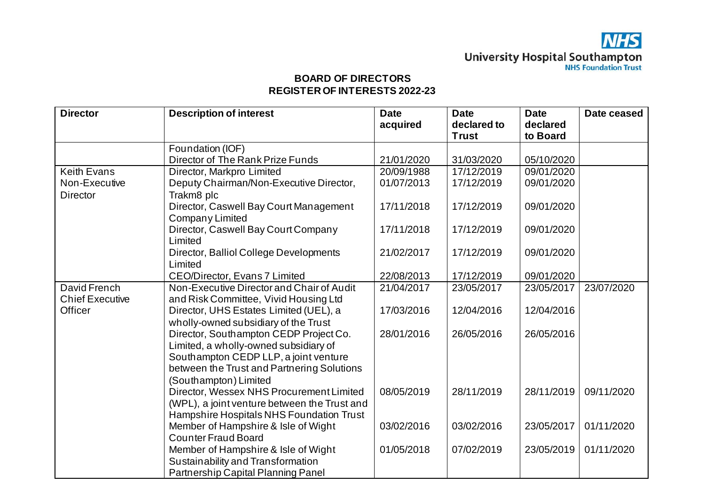| <b>Director</b>        | <b>Description of interest</b>               | <b>Date</b> | <b>Date</b>  | <b>Date</b> | Date ceased |
|------------------------|----------------------------------------------|-------------|--------------|-------------|-------------|
|                        |                                              | acquired    | declared to  | declared    |             |
|                        |                                              |             | <b>Trust</b> | to Board    |             |
|                        | Foundation (IOF)                             |             |              |             |             |
|                        | Director of The Rank Prize Funds             | 21/01/2020  | 31/03/2020   | 05/10/2020  |             |
| <b>Keith Evans</b>     | Director, Markpro Limited                    | 20/09/1988  | 17/12/2019   | 09/01/2020  |             |
| Non-Executive          | Deputy Chairman/Non-Executive Director,      | 01/07/2013  | 17/12/2019   | 09/01/2020  |             |
| <b>Director</b>        | Trakm8 plc                                   |             |              |             |             |
|                        | Director, Caswell Bay Court Management       | 17/11/2018  | 17/12/2019   | 09/01/2020  |             |
|                        | Company Limited                              |             |              |             |             |
|                        | Director, Caswell Bay Court Company          | 17/11/2018  | 17/12/2019   | 09/01/2020  |             |
|                        | Limited                                      |             |              |             |             |
|                        | Director, Balliol College Developments       | 21/02/2017  | 17/12/2019   | 09/01/2020  |             |
|                        | Limited                                      |             |              |             |             |
|                        | <b>CEO/Director, Evans 7 Limited</b>         | 22/08/2013  | 17/12/2019   | 09/01/2020  |             |
| David French           | Non-Executive Director and Chair of Audit    | 21/04/2017  | 23/05/2017   | 23/05/2017  | 23/07/2020  |
| <b>Chief Executive</b> | and Risk Committee, Vivid Housing Ltd        |             |              |             |             |
| Officer                | Director, UHS Estates Limited (UEL), a       | 17/03/2016  | 12/04/2016   | 12/04/2016  |             |
|                        | wholly-owned subsidiary of the Trust         |             |              |             |             |
|                        | Director, Southampton CEDP Project Co.       | 28/01/2016  | 26/05/2016   | 26/05/2016  |             |
|                        | Limited, a wholly-owned subsidiary of        |             |              |             |             |
|                        | Southampton CEDP LLP, a joint venture        |             |              |             |             |
|                        | between the Trust and Partnering Solutions   |             |              |             |             |
|                        | (Southampton) Limited                        |             |              |             |             |
|                        | Director, Wessex NHS Procurement Limited     | 08/05/2019  | 28/11/2019   | 28/11/2019  | 09/11/2020  |
|                        | (WPL), a joint venture between the Trust and |             |              |             |             |
|                        | Hampshire Hospitals NHS Foundation Trust     |             |              |             |             |
|                        | Member of Hampshire & Isle of Wight          | 03/02/2016  | 03/02/2016   | 23/05/2017  | 01/11/2020  |
|                        | <b>Counter Fraud Board</b>                   |             |              |             |             |
|                        | Member of Hampshire & Isle of Wight          | 01/05/2018  | 07/02/2019   | 23/05/2019  | 01/11/2020  |
|                        | Sustainability and Transformation            |             |              |             |             |
|                        | Partnership Capital Planning Panel           |             |              |             |             |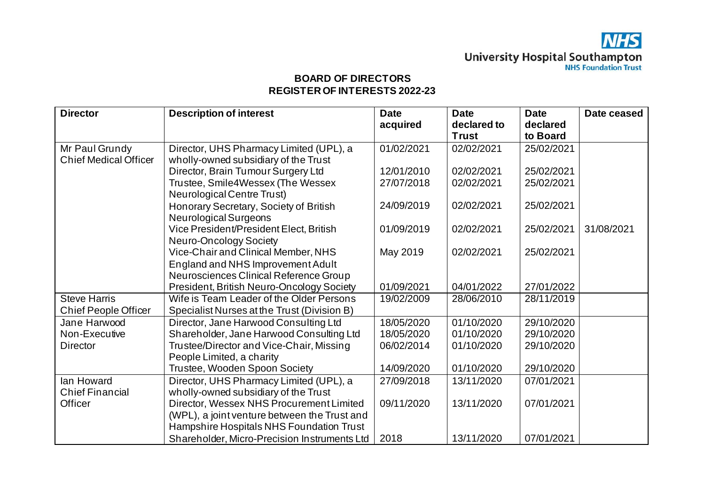| <b>Director</b>              | <b>Description of interest</b>               | <b>Date</b> | <b>Date</b><br>declared to | <b>Date</b><br>declared | Date ceased |
|------------------------------|----------------------------------------------|-------------|----------------------------|-------------------------|-------------|
|                              |                                              | acquired    | <b>Trust</b>               | to Board                |             |
| Mr Paul Grundy               | Director, UHS Pharmacy Limited (UPL), a      | 01/02/2021  | 02/02/2021                 | 25/02/2021              |             |
| <b>Chief Medical Officer</b> | wholly-owned subsidiary of the Trust         |             |                            |                         |             |
|                              | Director, Brain Tumour Surgery Ltd           | 12/01/2010  | 02/02/2021                 | 25/02/2021              |             |
|                              | Trustee, Smile4Wessex (The Wessex            | 27/07/2018  | 02/02/2021                 | 25/02/2021              |             |
|                              | <b>Neurological Centre Trust)</b>            |             |                            |                         |             |
|                              | Honorary Secretary, Society of British       | 24/09/2019  | 02/02/2021                 | 25/02/2021              |             |
|                              | <b>Neurological Surgeons</b>                 |             |                            |                         |             |
|                              | Vice President/President Elect, British      | 01/09/2019  | 02/02/2021                 | 25/02/2021              | 31/08/2021  |
|                              | Neuro-Oncology Society                       |             |                            |                         |             |
|                              | Vice-Chair and Clinical Member, NHS          | May 2019    | 02/02/2021                 | 25/02/2021              |             |
|                              | England and NHS Improvement Adult            |             |                            |                         |             |
|                              | Neurosciences Clinical Reference Group       |             |                            |                         |             |
|                              | President, British Neuro-Oncology Society    | 01/09/2021  | 04/01/2022                 | 27/01/2022              |             |
| <b>Steve Harris</b>          | Wife is Team Leader of the Older Persons     | 19/02/2009  | 28/06/2010                 | 28/11/2019              |             |
| <b>Chief People Officer</b>  | Specialist Nurses at the Trust (Division B)  |             |                            |                         |             |
| Jane Harwood                 | Director, Jane Harwood Consulting Ltd        | 18/05/2020  | 01/10/2020                 | 29/10/2020              |             |
| Non-Executive                | Shareholder, Jane Harwood Consulting Ltd     | 18/05/2020  | 01/10/2020                 | 29/10/2020              |             |
| <b>Director</b>              | Trustee/Director and Vice-Chair, Missing     | 06/02/2014  | 01/10/2020                 | 29/10/2020              |             |
|                              | People Limited, a charity                    |             |                            |                         |             |
|                              | Trustee, Wooden Spoon Society                | 14/09/2020  | 01/10/2020                 | 29/10/2020              |             |
| lan Howard                   | Director, UHS Pharmacy Limited (UPL), a      | 27/09/2018  | 13/11/2020                 | 07/01/2021              |             |
| <b>Chief Financial</b>       | wholly-owned subsidiary of the Trust         |             |                            |                         |             |
| Officer                      | Director, Wessex NHS Procurement Limited     | 09/11/2020  | 13/11/2020                 | 07/01/2021              |             |
|                              | (WPL), a joint venture between the Trust and |             |                            |                         |             |
|                              | Hampshire Hospitals NHS Foundation Trust     |             |                            |                         |             |
|                              | Shareholder, Micro-Precision Instruments Ltd | 2018        | 13/11/2020                 | 07/01/2021              |             |